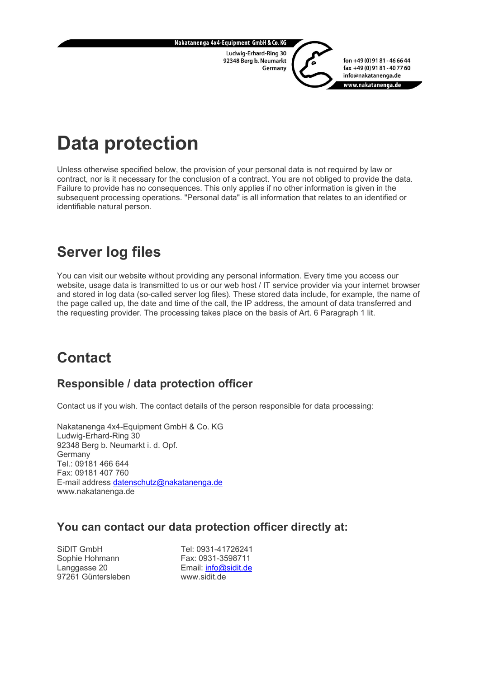

# **Data protection**

Unless otherwise specified below, the provision of your personal data is not required by law or contract, nor is it necessary for the conclusion of a contract. You are not obliged to provide the data. Failure to provide has no consequences. This only applies if no other information is given in the subsequent processing operations. "Personal data" is all information that relates to an identified or identifiable natural person.

# **Server log files**

You can visit our website without providing any personal information. Every time you access our website, usage data is transmitted to us or our web host / IT service provider via your internet browser and stored in log data (so-called server log files). These stored data include, for example, the name of the page called up, the date and time of the call, the IP address, the amount of data transferred and the requesting provider. The processing takes place on the basis of Art. 6 Paragraph 1 lit.

# **Contact**

### **Responsible / data protection officer**

Contact us if you wish. The contact details of the person responsible for data processing:

Nakatanenga 4x4-Equipment GmbH & Co. KG Ludwig-Erhard-Ring 30 92348 Berg b. Neumarkt i. d. Opf. Germany Tel.: 09181 466 644 Fax: 09181 407 760 E-mail address [datenschutz@nakatanenga.de](mailto:datenschutz@nakatanenga.de) www.nakatanenga.de

#### **You can contact our data protection officer directly at:**

SiDIT GmbH Sophie Hohmann Langgasse 20 97261 Güntersleben

Tel: 0931-41726241 Fax: 0931-3598711 Email: [info@sidit.de](mailto:info@sidit.de) www.sidit.de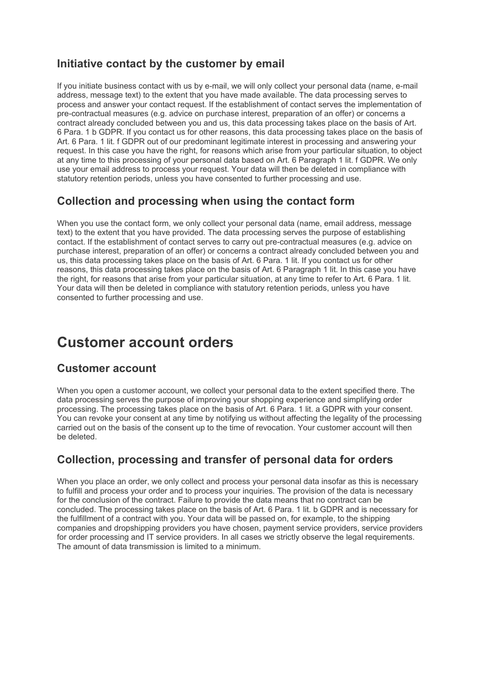### **Initiative contact by the customer by email**

If you initiate business contact with us by e-mail, we will only collect your personal data (name, e-mail address, message text) to the extent that you have made available. The data processing serves to process and answer your contact request. If the establishment of contact serves the implementation of pre-contractual measures (e.g. advice on purchase interest, preparation of an offer) or concerns a contract already concluded between you and us, this data processing takes place on the basis of Art. 6 Para. 1 b GDPR. If you contact us for other reasons, this data processing takes place on the basis of Art. 6 Para. 1 lit. f GDPR out of our predominant legitimate interest in processing and answering your request. In this case you have the right, for reasons which arise from your particular situation, to object at any time to this processing of your personal data based on Art. 6 Paragraph 1 lit. f GDPR. We only use your email address to process your request. Your data will then be deleted in compliance with statutory retention periods, unless you have consented to further processing and use.

### **Collection and processing when using the contact form**

When you use the contact form, we only collect your personal data (name, email address, message text) to the extent that you have provided. The data processing serves the purpose of establishing contact. If the establishment of contact serves to carry out pre-contractual measures (e.g. advice on purchase interest, preparation of an offer) or concerns a contract already concluded between you and us, this data processing takes place on the basis of Art. 6 Para. 1 lit. If you contact us for other reasons, this data processing takes place on the basis of Art. 6 Paragraph 1 lit. In this case you have the right, for reasons that arise from your particular situation, at any time to refer to Art. 6 Para. 1 lit. Your data will then be deleted in compliance with statutory retention periods, unless you have consented to further processing and use.

### **Customer account orders**

#### **Customer account**

When you open a customer account, we collect your personal data to the extent specified there. The data processing serves the purpose of improving your shopping experience and simplifying order processing. The processing takes place on the basis of Art. 6 Para. 1 lit. a GDPR with your consent. You can revoke your consent at any time by notifying us without affecting the legality of the processing carried out on the basis of the consent up to the time of revocation. Your customer account will then be deleted.

### **Collection, processing and transfer of personal data for orders**

When you place an order, we only collect and process your personal data insofar as this is necessary to fulfill and process your order and to process your inquiries. The provision of the data is necessary for the conclusion of the contract. Failure to provide the data means that no contract can be concluded. The processing takes place on the basis of Art. 6 Para. 1 lit. b GDPR and is necessary for the fulfillment of a contract with you. Your data will be passed on, for example, to the shipping companies and dropshipping providers you have chosen, payment service providers, service providers for order processing and IT service providers. In all cases we strictly observe the legal requirements. The amount of data transmission is limited to a minimum.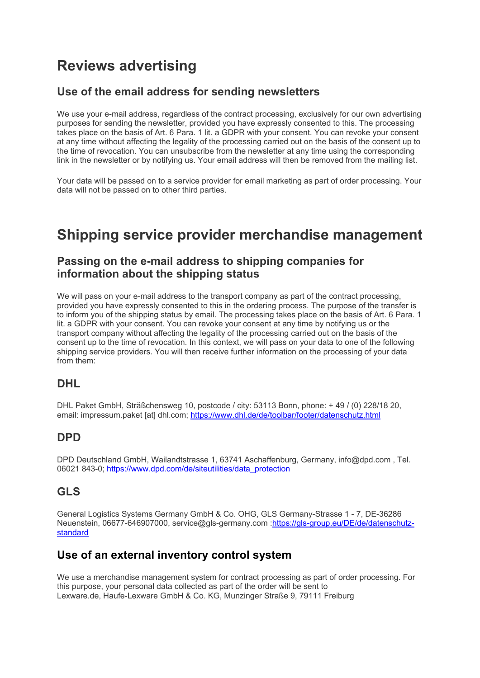# **Reviews advertising**

### **Use of the email address for sending newsletters**

We use your e-mail address, regardless of the contract processing, exclusively for our own advertising purposes for sending the newsletter, provided you have expressly consented to this. The processing takes place on the basis of Art. 6 Para. 1 lit. a GDPR with your consent. You can revoke your consent at any time without affecting the legality of the processing carried out on the basis of the consent up to the time of revocation. You can unsubscribe from the newsletter at any time using the corresponding link in the newsletter or by notifying us. Your email address will then be removed from the mailing list.

Your data will be passed on to a service provider for email marketing as part of order processing. Your data will not be passed on to other third parties.

### **Shipping service provider merchandise management**

#### **Passing on the e-mail address to shipping companies for information about the shipping status**

We will pass on your e-mail address to the transport company as part of the contract processing. provided you have expressly consented to this in the ordering process. The purpose of the transfer is to inform you of the shipping status by email. The processing takes place on the basis of Art. 6 Para. 1 lit. a GDPR with your consent. You can revoke your consent at any time by notifying us or the transport company without affecting the legality of the processing carried out on the basis of the consent up to the time of revocation. In this context, we will pass on your data to one of the following shipping service providers. You will then receive further information on the processing of your data from them:

### **DHL**

DHL Paket GmbH, Sträßchensweg 10, postcode / city: 53113 Bonn, phone: + 49 / (0) 228/18 20, email: impressum.paket [at] dhl.com;<https://www.dhl.de/de/toolbar/footer/datenschutz.html>

### **DPD**

DPD Deutschland GmbH, Wailandtstrasse 1, 63741 Aschaffenburg, Germany, info@dpd.com , Tel. 06021 843-0; [https://www.dpd.com/de/siteutilities/data\\_protection](https://www.dpd.com/de/siteutilities/data_protection)

### **GLS**

General Logistics Systems Germany GmbH & Co. OHG, GLS Germany-Strasse 1 - 7, DE-36286 Neuenstein, 06677-646907000, service@gls-germany.com [:https://gls-group.eu/DE/de/datenschutz](https://gls-group.eu/DE/de/datenschutz-standard)[standard](https://gls-group.eu/DE/de/datenschutz-standard)

### **Use of an external inventory control system**

We use a merchandise management system for contract processing as part of order processing. For this purpose, your personal data collected as part of the order will be sent to Lexware.de, Haufe-Lexware GmbH & Co. KG, Munzinger Straße 9, 79111 Freiburg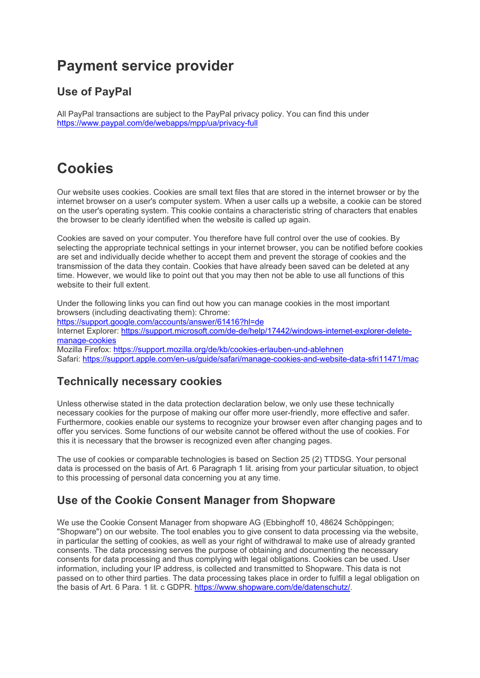## **Payment service provider**

### **Use of PayPal**

All PayPal transactions are subject to the PayPal privacy policy. You can find this under <https://www.paypal.com/de/webapps/mpp/ua/privacy-full>

# **Cookies**

Our website uses cookies. Cookies are small text files that are stored in the internet browser or by the internet browser on a user's computer system. When a user calls up a website, a cookie can be stored on the user's operating system. This cookie contains a characteristic string of characters that enables the browser to be clearly identified when the website is called up again.

Cookies are saved on your computer. You therefore have full control over the use of cookies. By selecting the appropriate technical settings in your internet browser, you can be notified before cookies are set and individually decide whether to accept them and prevent the storage of cookies and the transmission of the data they contain. Cookies that have already been saved can be deleted at any time. However, we would like to point out that you may then not be able to use all functions of this website to their full extent.

Under the following links you can find out how you can manage cookies in the most important browsers (including deactivating them): Chrome: <https://support.google.com/accounts/answer/61416?hl=de> Internet Explorer: [https://support.microsoft.com/de-de/help/17442/windows-internet-explorer-delete](https://support.microsoft.com/de-de/help/17442/windows-internet-explorer-delete-manage-cookies)[manage-cookies](https://support.microsoft.com/de-de/help/17442/windows-internet-explorer-delete-manage-cookies) Mozilla Firefox: <https://support.mozilla.org/de/kb/cookies-erlauben-und-ablehnen> Safari: [https://support.apple.com/en-us/guide/safari/manage-cookies-and-website-data-sfri11471/mac](https://support.apple.com/de-de/guide/safari/manage-cookies-and-website-data-sfri11471/mac)

### **Technically necessary cookies**

Unless otherwise stated in the data protection declaration below, we only use these technically necessary cookies for the purpose of making our offer more user-friendly, more effective and safer. Furthermore, cookies enable our systems to recognize your browser even after changing pages and to offer you services. Some functions of our website cannot be offered without the use of cookies. For this it is necessary that the browser is recognized even after changing pages.

The use of cookies or comparable technologies is based on Section 25 (2) TTDSG. Your personal data is processed on the basis of Art. 6 Paragraph 1 lit. arising from your particular situation, to object to this processing of personal data concerning you at any time.

### **Use of the Cookie Consent Manager from Shopware**

We use the Cookie Consent Manager from shopware AG (Ebbinghoff 10, 48624 Schöppingen; "Shopware") on our website. The tool enables you to give consent to data processing via the website, in particular the setting of cookies, as well as your right of withdrawal to make use of already granted consents. The data processing serves the purpose of obtaining and documenting the necessary consents for data processing and thus complying with legal obligations. Cookies can be used. User information, including your IP address, is collected and transmitted to Shopware. This data is not passed on to other third parties. The data processing takes place in order to fulfill a legal obligation on the basis of Art. 6 Para. 1 lit. c GDPR. [https://www.shopware.com/de/datenschutz/.](https://www.shopware.com/de/datenschutz/)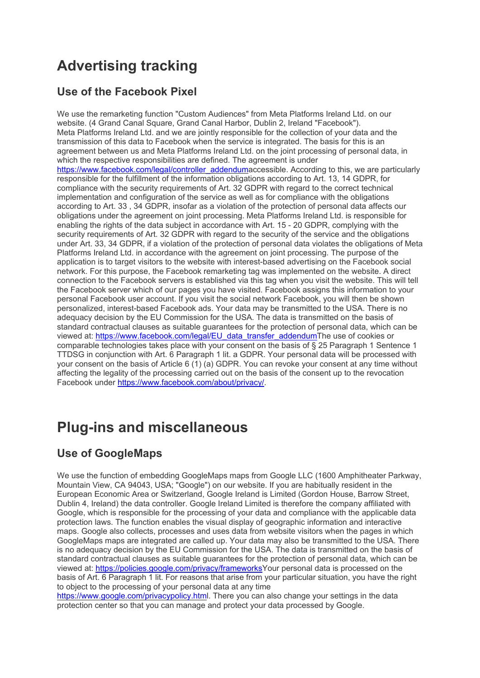# **Advertising tracking**

### **Use of the Facebook Pixel**

We use the remarketing function "Custom Audiences" from Meta Platforms Ireland Ltd. on our website. (4 Grand Canal Square, Grand Canal Harbor, Dublin 2, Ireland "Facebook"). Meta Platforms Ireland Ltd. and we are jointly responsible for the collection of your data and the transmission of this data to Facebook when the service is integrated. The basis for this is an agreement between us and Meta Platforms Ireland Ltd. on the joint processing of personal data, in which the respective responsibilities are defined. The agreement is under [https://www.facebook.com/legal/controller\\_addenduma](https://www.facebook.com/legal/controller_addendum)ccessible. According to this, we are particularly responsible for the fulfillment of the information obligations according to Art. 13, 14 GDPR, for compliance with the security requirements of Art. 32 GDPR with regard to the correct technical implementation and configuration of the service as well as for compliance with the obligations according to Art. 33 , 34 GDPR, insofar as a violation of the protection of personal data affects our obligations under the agreement on joint processing. Meta Platforms Ireland Ltd. is responsible for enabling the rights of the data subject in accordance with Art. 15 - 20 GDPR, complying with the security requirements of Art. 32 GDPR with regard to the security of the service and the obligations under Art. 33, 34 GDPR, if a violation of the protection of personal data violates the obligations of Meta Platforms Ireland Ltd. in accordance with the agreement on joint processing. The purpose of the application is to target visitors to the website with interest-based advertising on the Facebook social network. For this purpose, the Facebook remarketing tag was implemented on the website. A direct connection to the Facebook servers is established via this tag when you visit the website. This will tell the Facebook server which of our pages you have visited. Facebook assigns this information to your personal Facebook user account. If you visit the social network Facebook, you will then be shown personalized, interest-based Facebook ads. Your data may be transmitted to the USA. There is no adequacy decision by the EU Commission for the USA. The data is transmitted on the basis of standard contractual clauses as suitable guarantees for the protection of personal data, which can be viewed at: [https://www.facebook.com/legal/EU\\_data\\_transfer\\_addendumT](https://www.facebook.com/legal/EU_data_transfer_addendum)he use of cookies or comparable technologies takes place with your consent on the basis of § 25 Paragraph 1 Sentence 1 TTDSG in conjunction with Art. 6 Paragraph 1 lit. a GDPR. Your personal data will be processed with your consent on the basis of Article 6 (1) (a) GDPR. You can revoke your consent at any time without affecting the legality of the processing carried out on the basis of the consent up to the revocation Facebook under [https://www.facebook.com/about/privacy/.](https://www.facebook.com/about/privacy/)

### **Plug-ins and miscellaneous**

### **Use of GoogleMaps**

We use the function of embedding GoogleMaps maps from Google LLC (1600 Amphitheater Parkway, Mountain View, CA 94043, USA; "Google") on our website. If you are habitually resident in the European Economic Area or Switzerland, Google Ireland is Limited (Gordon House, Barrow Street, Dublin 4, Ireland) the data controller. Google Ireland Limited is therefore the company affiliated with Google, which is responsible for the processing of your data and compliance with the applicable data protection laws. The function enables the visual display of geographic information and interactive maps. Google also collects, processes and uses data from website visitors when the pages in which GoogleMaps maps are integrated are called up. Your data may also be transmitted to the USA. There is no adequacy decision by the EU Commission for the USA. The data is transmitted on the basis of standard contractual clauses as suitable guarantees for the protection of personal data, which can be viewed at: [https://policies.google.com/privacy/frameworksY](https://policies.google.com/privacy/frameworks)our personal data is processed on the basis of Art. 6 Paragraph 1 lit. For reasons that arise from your particular situation, you have the right to object to the processing of your personal data at any time

[https://www.google.com/privacypolicy.html.](https://www.google.com/privacypolicy.html) There you can also change your settings in the data protection center so that you can manage and protect your data processed by Google.